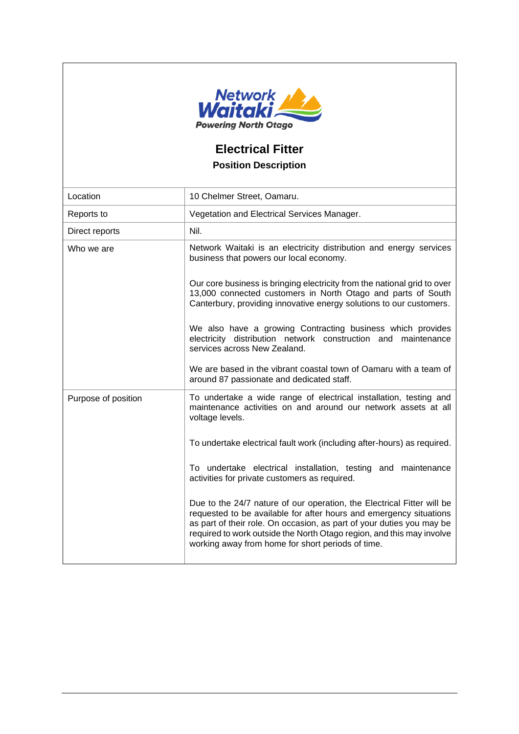

## **Electrical Fitter Position Description**

| Location            | 10 Chelmer Street, Oamaru.                                                                                                                                                                                                                                                                                                                          |
|---------------------|-----------------------------------------------------------------------------------------------------------------------------------------------------------------------------------------------------------------------------------------------------------------------------------------------------------------------------------------------------|
| Reports to          | Vegetation and Electrical Services Manager.                                                                                                                                                                                                                                                                                                         |
| Direct reports      | Nil.                                                                                                                                                                                                                                                                                                                                                |
| Who we are          | Network Waitaki is an electricity distribution and energy services<br>business that powers our local economy.                                                                                                                                                                                                                                       |
|                     | Our core business is bringing electricity from the national grid to over<br>13,000 connected customers in North Otago and parts of South<br>Canterbury, providing innovative energy solutions to our customers.                                                                                                                                     |
|                     | We also have a growing Contracting business which provides<br>electricity distribution network construction and maintenance<br>services across New Zealand.                                                                                                                                                                                         |
|                     | We are based in the vibrant coastal town of Oamaru with a team of<br>around 87 passionate and dedicated staff.                                                                                                                                                                                                                                      |
| Purpose of position | To undertake a wide range of electrical installation, testing and<br>maintenance activities on and around our network assets at all<br>voltage levels.                                                                                                                                                                                              |
|                     | To undertake electrical fault work (including after-hours) as required.                                                                                                                                                                                                                                                                             |
|                     | To undertake electrical installation, testing and maintenance<br>activities for private customers as required.                                                                                                                                                                                                                                      |
|                     | Due to the 24/7 nature of our operation, the Electrical Fitter will be<br>requested to be available for after hours and emergency situations<br>as part of their role. On occasion, as part of your duties you may be<br>required to work outside the North Otago region, and this may involve<br>working away from home for short periods of time. |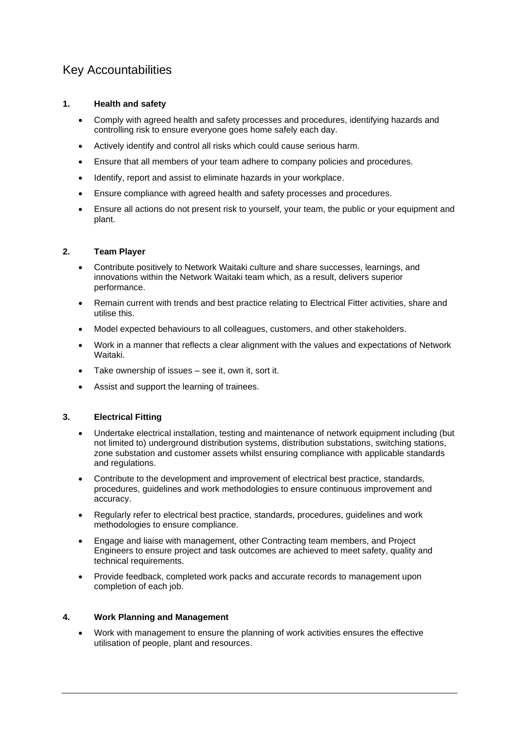## Key Accountabilities

#### **1. Health and safety**

- Comply with agreed health and safety processes and procedures, identifying hazards and controlling risk to ensure everyone goes home safely each day.
- Actively identify and control all risks which could cause serious harm.
- Ensure that all members of your team adhere to company policies and procedures.
- Identify, report and assist to eliminate hazards in your workplace.
- Ensure compliance with agreed health and safety processes and procedures.
- Ensure all actions do not present risk to yourself, your team, the public or your equipment and plant.

#### **2. Team Player**

- Contribute positively to Network Waitaki culture and share successes, learnings, and innovations within the Network Waitaki team which, as a result, delivers superior performance.
- Remain current with trends and best practice relating to Electrical Fitter activities, share and utilise this.
- Model expected behaviours to all colleagues, customers, and other stakeholders.
- Work in a manner that reflects a clear alignment with the values and expectations of Network Waitaki.
- Take ownership of issues see it, own it, sort it.
- Assist and support the learning of trainees.

#### **3. Electrical Fitting**

- Undertake electrical installation, testing and maintenance of network equipment including (but not limited to) underground distribution systems, distribution substations, switching stations, zone substation and customer assets whilst ensuring compliance with applicable standards and regulations.
- Contribute to the development and improvement of electrical best practice, standards, procedures, guidelines and work methodologies to ensure continuous improvement and accuracy.
- Regularly refer to electrical best practice, standards, procedures, guidelines and work methodologies to ensure compliance.
- Engage and liaise with management, other Contracting team members, and Project Engineers to ensure project and task outcomes are achieved to meet safety, quality and technical requirements.
- Provide feedback, completed work packs and accurate records to management upon completion of each job.

#### **4. Work Planning and Management**

• Work with management to ensure the planning of work activities ensures the effective utilisation of people, plant and resources.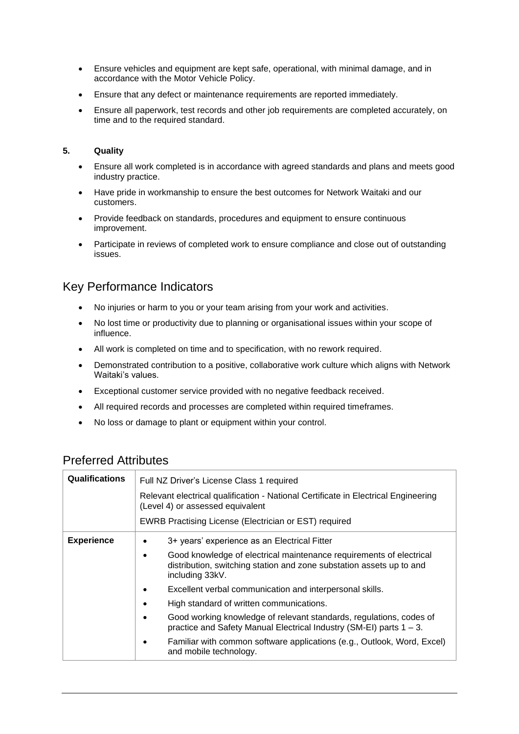- Ensure vehicles and equipment are kept safe, operational, with minimal damage, and in accordance with the Motor Vehicle Policy.
- Ensure that any defect or maintenance requirements are reported immediately.
- Ensure all paperwork, test records and other job requirements are completed accurately, on time and to the required standard.

#### **5. Quality**

- Ensure all work completed is in accordance with agreed standards and plans and meets good industry practice.
- Have pride in workmanship to ensure the best outcomes for Network Waitaki and our customers.
- Provide feedback on standards, procedures and equipment to ensure continuous improvement.
- Participate in reviews of completed work to ensure compliance and close out of outstanding issues.

## Key Performance Indicators

- No injuries or harm to you or your team arising from your work and activities.
- No lost time or productivity due to planning or organisational issues within your scope of influence.
- All work is completed on time and to specification, with no rework required.
- Demonstrated contribution to a positive, collaborative work culture which aligns with Network Waitaki's values.
- Exceptional customer service provided with no negative feedback received.
- All required records and processes are completed within required timeframes.
- No loss or damage to plant or equipment within your control.

| <b>Qualifications</b> | Full NZ Driver's License Class 1 required<br>Relevant electrical qualification - National Certificate in Electrical Engineering<br>(Level 4) or assessed equivalent<br>EWRB Practising License (Electrician or EST) required                                                                                                                               |  |
|-----------------------|------------------------------------------------------------------------------------------------------------------------------------------------------------------------------------------------------------------------------------------------------------------------------------------------------------------------------------------------------------|--|
| <b>Experience</b>     | 3+ years' experience as an Electrical Fitter<br>Good knowledge of electrical maintenance requirements of electrical<br>distribution, switching station and zone substation assets up to and<br>including 33kV.                                                                                                                                             |  |
|                       | Excellent verbal communication and interpersonal skills.<br>High standard of written communications.<br>Good working knowledge of relevant standards, regulations, codes of<br>practice and Safety Manual Electrical Industry (SM-EI) parts $1 - 3$ .<br>Familiar with common software applications (e.g., Outlook, Word, Excel)<br>and mobile technology. |  |

### Preferred Attributes